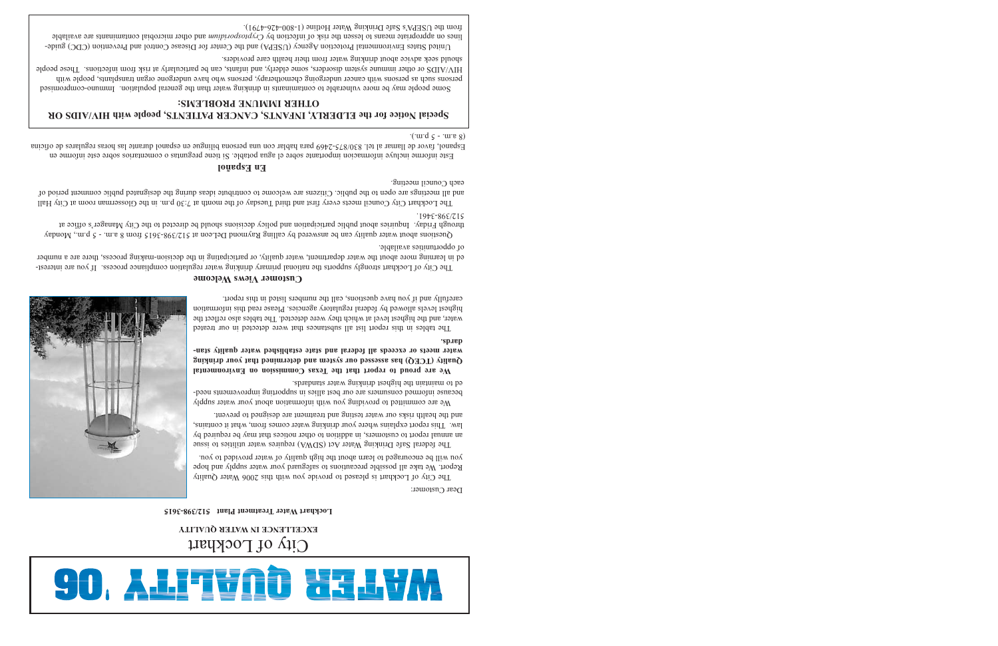#### **En Español**

Este informe incluye informacion importante sobre el agua potable. Si tiene preguntas o comentarios sobre este informe en icina Espanol, favor de llamar al tel. 830/875-2469 para hablar con una persona bilingue en espanol durante las horas regulares de of  $\cdot$ ('word  $\varsigma$  - 'words)

# 90. ALITVNÖ XELVM

### City of Lockhart **EXCELLENCE IN WATER QUALITY**

#### **Lockhart Water Treatment Plant 512/398-3615**

Dear Customer:



The City of Lockhart is pleased to provide you with this 2006 Water Quality Report. We take all possible precautions to safeguard your water supply and hope you will be encouraged to learn about the high quality of water provided to you.

The federal Safe Drinking Water Act (SDWA) requires water utilities to issue an annual report ou troustomers, in addition to other notices that may be required by law. This report explains where your drinking water comes from, what it contains, and the health risks our water testing and treatment are designed to prevent.

We are committed to providing you with information about your water supply because informed consumers are our best allies in supporting improvements needed to maintain the highest drinking water standards.

Questions about water quality can be answered by calling Raymond DeLeon at  $512/398-3615$  from 8 a.m. - 5 p.m., Monday through Friday. Indust a bout public participated with policy decisions should be directed to the City Manager's office at 512/398-3461.

> **We are proud to report that the Texas Commission on Environmental Quality (TCEQ) has assessed our system and determined that your drinking water meets or exceeds all federal and state established water quality standards.**

The Lockhart Council meets every first build Tuesday of the month at 7:30 p.m. in the Glosserman room at City Hall and all meetings are open of the public. Citizens are welcome to contribute ideasing the designated public comment period of each Council meeting.

> The tables in this report list all substances that were detected in our treated water, and the highest level at which they were detected. The tables also reflect the highest levels allowed by federal regulatory agencies. Please read this information carefully and if you have questions, call the numbers listed in this report.

#### **Customer Views Welcome**

The City of Lockhart strongly supports the national primary drinking water regulation compliance process. If you are interested in learning more about the water department, water quality, or participating in the decision-making process, there are a number of opportunities available.

#### **Special Notice for the ELDERLY, INFANTS, CANCER PATIENTS, people with HIV/AIDS OR OTHER IMMUNE PROBLEMS:**

Some people may be more vulnerable to contaminants in drinking water than the general population. Immuno-compromised persons such as persons with cancer undergoing chemotherapy, persons who have undergone organ transplants, people with <sup>e</sup> HIV/AIDS or other immune system disorders, some elderly, and infants, can be particularly at risk from infections. These peopl should seek advice about drinking water from their health care providers.

United States Environmental Protection Agency (USEPA) and the Center for Disease Control and Prevention (CDC) guidelines on appropriate means to lesseel of risk of microproduced microbial means microbial contaminants are available from the USEPA's Safe Drinking Water Hotline (1-800-426-4791).